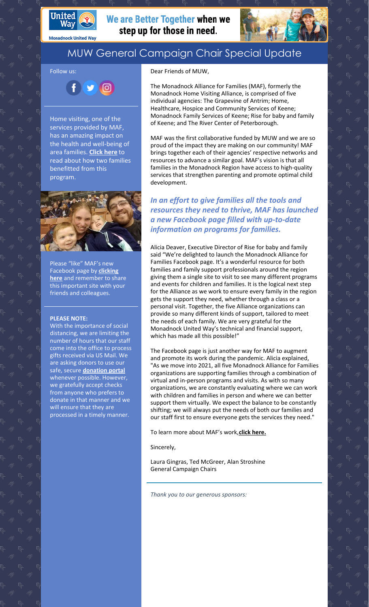

**Monadnock United Way** 

## We are Better Together when we step up for those in need.



## MUW General Campaign Chair Special Update

Follow us:

 $\bullet$  $900$ 

Home visiting, one of the services provided by MAF, has an amazing impact on the health and well-being of area families. **[Click](https://www.muw.org/homevisitingstories) here** to read about how two families benefitted from this program.



Please "like" MAF's new Facebook page by **clicking here** and [remember](https://www.facebook.com/MonadnockAllianceFamilies) to share this important site with your friends and colleagues.

## **PLEASE NOTE:**

With the importance of social distancing, we are limiting the number of hours that our staff come into the office to process gifts received via US Mail. We are asking donors to use our safe, secure **[donation](https://app.mobilecause.com/f/2vgz/n?reset=1&%253Bid=1&vid=cdoig) portal** whenever possible. However, we gratefully accept checks from anyone who prefers to donate in that manner and we will ensure that they are processed in a timely manner.

Dear Friends of MUW,

The Monadnock Alliance for Families (MAF), formerly the Monadnock Home Visiting Alliance, is comprised of five individual agencies: The Grapevine of Antrim; Home, Healthcare, Hospice and Community Services of Keene; Monadnock Family Services of Keene; Rise for baby and family of Keene; and The River Center of Peterborough.

MAF was the first collaborative funded by MUW and we are so proud of the impact they are making on our community! MAF brings together each of their agencies' respective networks and resources to advance a similar goal. MAF's vision is that all families in the Monadnock Region have access to high-quality services that strengthen parenting and promote optimal child development.

*In an effort to give families all the tools and resources they need to thrive, MAF has launched a new Facebook page filled with up-to-date information on programs for families.*

Alicia Deaver, Executive Director of Rise for baby and family said "We're delighted to launch the Monadnock Alliance for Families Facebook page. It's a wonderful resource for both families and family support professionals around the region giving them a single site to visit to see many different programs and events for children and families. It is the logical next step for the Alliance as we work to ensure every family in the region gets the support they need, whether through a class or a personal visit. Together, the five Alliance organizations can provide so many different kinds of support, tailored to meet the needs of each family. We are very grateful for the Monadnock United Way's technical and financial support, which has made all this possible!"

The Facebook page is just another way for MAF to augment and promote its work during the pandemic. Alicia explained, "As we move into 2021, all five Monadnock Alliance for Families organizations are supporting families through a combination of virtual and in-person programs and visits. As with so many organizations, we are constantly evaluating where we can work with children and families in person and where we can better support them virtually. We expect the balance to be constantly shifting; we will always put the needs of both our families and our staff first to ensure everyone gets the services they need."

To learn more about MAF's work,**click [here.](https://www.muw.org/impact/monadnock-alliance-families-0)**

Sincerely,

Laura Gingras, Ted McGreer, Alan Stroshine General Campaign Chairs

*Thank you to our generous sponsors:*